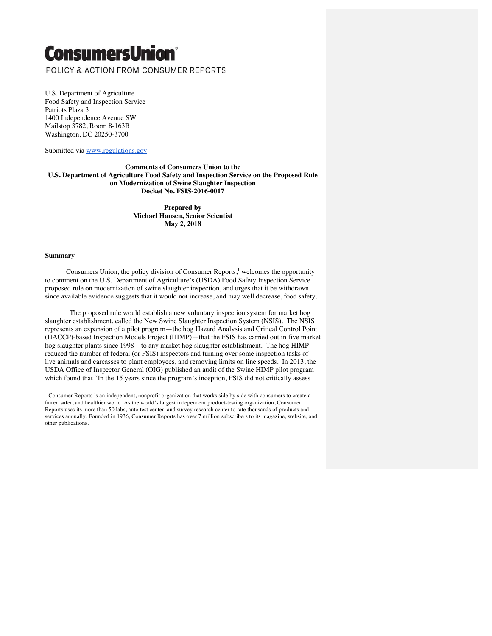# **ConsumersUnion®**

POLICY & ACTION FROM CONSUMER REPORTS

U.S. Department of Agriculture Food Safety and Inspection Service Patriots Plaza 3 1400 Independence Avenue SW Mailstop 3782, Room 8-163B Washington, DC 20250-3700

Submitted via www.regulations.gov

**Comments of Consumers Union to the U.S. Department of Agriculture Food Safety and Inspection Service on the Proposed Rule on Modernization of Swine Slaughter Inspection Docket No. FSIS-2016-0017**

> **Prepared by Michael Hansen, Senior Scientist May 2, 2018**

#### **Summary**

Consumers Union, the policy division of Consumer Reports, $\frac{1}{2}$  welcomes the opportunity to comment on the U.S. Department of Agriculture's (USDA) Food Safety Inspection Service proposed rule on modernization of swine slaughter inspection, and urges that it be withdrawn, since available evidence suggests that it would not increase, and may well decrease, food safety.

 The proposed rule would establish a new voluntary inspection system for market hog slaughter establishment, called the New Swine Slaughter Inspection System (NSIS). The NSIS represents an expansion of a pilot program—the hog Hazard Analysis and Critical Control Point (HACCP)-based Inspection Models Project (HIMP)—that the FSIS has carried out in five market hog slaughter plants since 1998—to any market hog slaughter establishment. The hog HIMP reduced the number of federal (or FSIS) inspectors and turning over some inspection tasks of live animals and carcasses to plant employees, and removing limits on line speeds. In 2013, the USDA Office of Inspector General (OIG) published an audit of the Swine HIMP pilot program which found that "In the 15 years since the program's inception, FSIS did not critically assess

 $1$  Consumer Reports is an independent, nonprofit organization that works side by side with consumers to create a fairer, safer, and healthier world. As the world's largest independent product-testing organization, Consumer Reports uses its more than 50 labs, auto test center, and survey research center to rate thousands of products and services annually. Founded in 1936, Consumer Reports has over 7 million subscribers to its magazine, website, and other publications.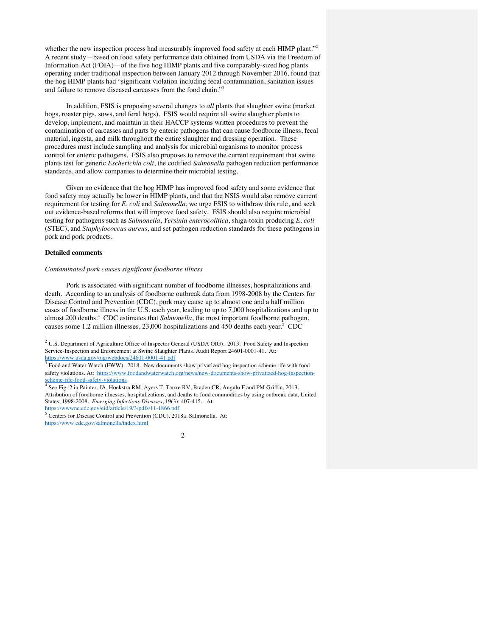whether the new inspection process had measurably improved food safety at each HIMP plant."<sup>2</sup> A recent study—based on food safety performance data obtained from USDA via the Freedom of Information Act (FOIA)—of the five hog HIMP plants and five comparably-sized hog plants operating under traditional inspection between January 2012 through November 2016, found that the hog HIMP plants had "significant violation including fecal contamination, sanitation issues and failure to remove diseased carcasses from the food chain."3

In addition, FSIS is proposing several changes to *all* plants that slaughter swine (market hogs, roaster pigs, sows, and feral hogs). FSIS would require all swine slaughter plants to develop, implement, and maintain in their HACCP systems written procedures to prevent the contamination of carcasses and parts by enteric pathogens that can cause foodborne illness, fecal material, ingesta, and milk throughout the entire slaughter and dressing operation. These procedures must include sampling and analysis for microbial organisms to monitor process control for enteric pathogens. FSIS also proposes to remove the current requirement that swine plants test for generic *Escherichia coli*, the codified *Salmonella* pathogen reduction performance standards, and allow companies to determine their microbial testing.

Given no evidence that the hog HIMP has improved food safety and some evidence that food safety may actually be lower in HIMP plants, and that the NSIS would also remove current requirement for testing for *E. coli* and *Salmonella*, we urge FSIS to withdraw this rule, and seek out evidence-based reforms that will improve food safety. FSIS should also require microbial testing for pathogens such as *Salmonella*, *Yersinia enterocolitica*, shiga-toxin producing *E. coli* (STEC), and *Staphylococcus aureus*, and set pathogen reduction standards for these pathogens in pork and pork products.

### **Detailed comments**

## *Contaminated pork causes significant foodborne illness*

Pork is associated with significant number of foodborne illnesses, hospitalizations and death. According to an analysis of foodborne outbreak data from 1998-2008 by the Centers for Disease Control and Prevention (CDC), pork may cause up to almost one and a half million cases of foodborne illness in the U.S. each year, leading to up to 7,000 hospitalizations and up to almost 200 deaths.<sup>4</sup> CDC estimates that *Salmonella*, the most important foodborne pathogen, causes some 1.2 million illnesses,  $23,000$  hospitalizations and 450 deaths each year.<sup>5</sup> CDC

 <sup>2</sup> U.S. Department of Agriculture Office of Inspector General (USDA OIG). 2013. Food Safety and Inspection Service-Inspection and Enforcement at Swine Slaughter Plants, Audit Report 24601-0001-41. At: https://www.usda.gov/oig/webdocs/24601-0001-41.pdf

<sup>&</sup>lt;sup>3</sup> Food and Water Watch (FWW). 2018. New documents show privatized hog inspection scheme rife with food safety violations. At: https://www.foodandwaterwatch.org/news/new-documents-show-privatized-hog-inspectionscheme-rife-food-safety-violations

<sup>4</sup> See Fig. 2 in Painter, JA, Hoekstra RM, Ayers T, Tauxe RV, Braden CR, Angulo F and PM Griffin. 2013. Attribution of foodborne illnesses, hospitalizations, and deaths to food commodities by using outbreak data, United States, 1998-2008. *Emerging Infectious Diseases*, 19(3): 407-415. At: https://wwwnc.cdc.gov/eid/article/19/3/pdfs/11-1866.pdf

<sup>5</sup> Centers for Disease Control and Prevention (CDC). 2018a. Salmonella. At: https://www.cdc.gov/salmonella/index.html

 $\mathfrak{D}$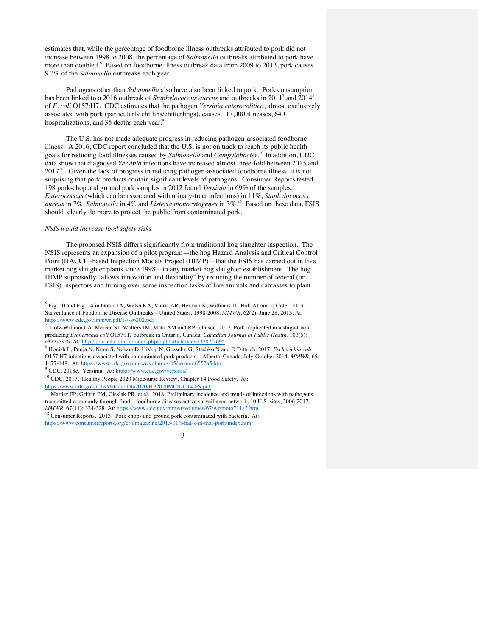estimates that, while the percentage of foodborne illness outbreaks attributed to pork did not increase between 1998 to 2008, the percentage of *Salmonella* outbreaks attributed to pork have more than doubled.<sup>6</sup> Based on foodborne illness outbreak data from 2009 to 2013, pork causes 9.3% of the *Salmonella* outbreaks each year.

Pathogens other than *Salmonella* also have also been linked to pork. Pork consumption has been linked to a 2016 outbreak of *Staphylococcus aureus* and outbreaks in 2011<sup>7</sup> and 2014<sup>8</sup> of *E. coli* O157:H7. CDC estimates that the pathogen *Yersinia enterocolitica*, almost exclusively associated with pork (particularly chitlins/chitterlings), causes 117,000 illnesses, 640 hospitalizations, and 35 deaths each year.<sup>9</sup>

The U.S. has not made adequate progress in reducing pathogen-associated foodborne illness. A 2016, CDC report concluded that the U.S. is not on track to reach its public health goals for reducing food illnesses caused by *Salmonella* and *Campylobacter*. <sup>10</sup> In addition, CDC data show that diagnosed *Yersinia* infections have increased almost three-fold between 2015 and 2017.<sup>11</sup> Given the lack of progress in reducing pathogen-associated foodborne illness, it is not surprising that pork products contain significant levels of pathogens. Consumer Reports tested 198 pork-chop and ground pork samples in 2012 found *Yersinia* in 69% of the samples, *Enterococcus* (which can be associated with urinary-tract infections) in 11%, *Staphylococcus aureus* in 7%, *Salmonella* in 4% and *Listeria monocytogenes* in 3%.12 Based on these data, FSIS should clearly do more to protect the public from contaminated pork.

#### *NSIS would increase food safety risks*

The proposed NSIS differs significantly from traditional hog slaughter inspection. The NSIS represents an expansion of a pilot program—the hog Hazard Analysis and Critical Control Point (HACCP)-based Inspection Models Project (HIMP)—that the FSIS has carried out in five market hog slaughter plants since 1998—to any market hog slaughter establishment. The hog HIMP supposedly "allows innovation and flexibility" by reducing the number of federal (or FSIS) inspectors and turning over some inspection tasks of live animals and carcasses to plant

<sup>9</sup> CDC. 2018c. Yersinia. At: https://www.cdc.gov/yersinia/

https://www.cdc.gov/nchs/data/hpdata2020/HP2020MCR-C14-FS.pdf<br><sup>11</sup> Marder EP, Griffin PM, Cieslak PR, et al. 2018. Preliminary incidence and trends of infections with pathogens transmitted commonly through food—foodborne diseases active surveillance network, 10 U.S. sites, 2006-2017. *MMWR*, 67(11): 324-328. At: https://www.cdc.gov/mmwr/volumes/67/wr/mm6711a3.htm

<sup>12</sup> Consumer Reports. 2013. Pork chops and ground pork contaminated with bacteria, At: https://www.consumerreports.org/cro/magazine/2013/01/what-s-in-that-pork/index.htm



 <sup>6</sup> Fig. 10 and Fig. 14 in Gould IA, Walsh KA, Vieria AR, Herman K, Williams IT, Hall AJ and D Cole. 2013. Surveillance of Foodborne Disease Outbreaks—United States, 1998-2008. *MMWR*, 62(2): June 28, 2013. At: https://www.cdc.gov/mmwr/pdf/ss/ss6202.pdf

<sup>7</sup> Trotz-William LA, Mercer NJ, Walters JM, Maki AM and RP Johnson. 2012. Pork implicated in a shiga-toxin producing *Escherichia coli* O157:H7 outbreak in Ontario, Canada. *Canadian Journal of Public Health*, 103(5): e322-e326. At: http://journal.cpha.ca/index.php/cjph/article/view/3287/2695

<sup>8</sup> Honish L, Punja N, Nunn S, Nelson D, Hislop N, Gosselin G, Stashko N and D Dittrich. 2017. *Escherichia coli* O157:H7 infections associated with contaminated pork products—Alberta, Canada, July-October 2014. *MMWR,* 65: 1477-148. At: https://www.cdc.gov/mmwr/volumes/65/wr/mm6552a5.htm

<sup>10</sup> CDC. 2017. Healthy People 2020 Midcourse Review, Chapter 14 Food Safety. At: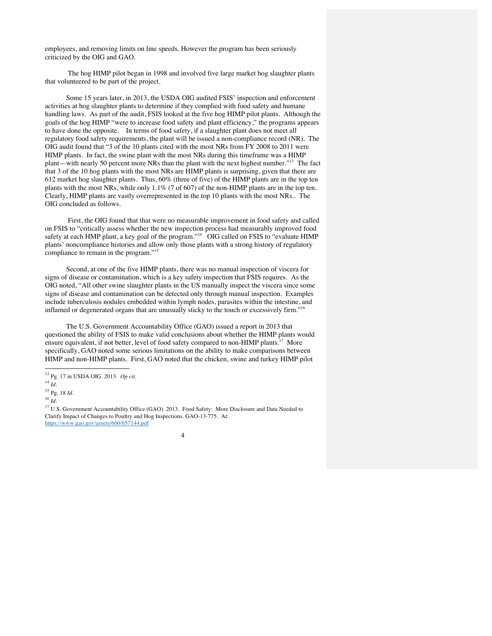employees, and removing limits on line speeds. However the program has been seriously criticized by the OIG and GAO.

The hog HIMP pilot began in 1998 and involved five large market hog slaughter plants that volunteered to be part of the project.

Some 15 years later, in 2013, the USDA OIG audited FSIS' inspection and enforcement activities at hog slaughter plants to determine if they complied with food safety and humane handling laws. As part of the audit, FSIS looked at the five hog HIMP pilot plants. Although the goals of the hog HIMP "were to increase food safety and plant efficiency," the programs appears to have done the opposite. In terms of food safety, if a slaughter plant does not meet all regulatory food safety requirements, the plant will be issued a non-compliance record (NR). The OIG audit found that "3 of the 10 plants cited with the most NRs from FY 2008 to 2011 were HIMP plants. In fact, the swine plant with the most NRs during this timeframe was a HIMP plant—with nearly 50 percent more NRs than the plant with the next highest number."13 The fact that 3 of the 10 hog plants with the most NRs are HIMP plants is surprising, given that there are 612 market hog slaughter plants. Thus, 60% (three of five) of the HIMP plants are in the top ten plants with the most NRs, while only 1.1% (7 of 607) of the non-HIMP plants are in the top ten. Clearly, HIMP plants are vastly overrepresented in the top 10 plants with the most NRs.. The OIG concluded as follows.

First, the OIG found that that were no measurable improvement in food safety and called on FSIS to "critically assess whether the new inspection process had measurably improved food safety at each HMP plant, a key goal of the program."<sup>14</sup> OIG called on FSIS to "evaluate HIMP plants' noncompliance histories and allow only those plants with a strong history of regulatory compliance to remain in the program."<sup>15</sup>

Second, at one of the five HIMP plants, there was no manual inspection of viscera for signs of disease or contamination, which is a key safety inspection that FSIS requires. As the OIG noted, "All other swine slaughter plants in the US manually inspect the viscera since some signs of disease and contamination can be detected only through manual inspection. Examples include tuberculosis nodules embedded within lymph nodes, parasites within the intestine, and inflamed or degenerated organs that are unusually sticky to the touch or excessively firm."

The U.S. Government Accountability Office (GAO) issued a report in 2013 that questioned the ability of FSIS to make valid conclusions about whether the HIMP plants would ensure equivalent, if not better, level of food safety compared to non-HIMP plants.<sup>17</sup> More specifically, GAO noted some serious limitations on the ability to make comparisons between HIMP and non-HIMP plants. First, GAO noted that the chicken, swine and turkey HIMP pilot

<sup>&</sup>lt;sup>17</sup> U.S. Government Accountability Office (GAO). 2013. Food Safety: More Disclosure and Data Needed to Clarify Impact of Changes to Poultry and Hog Inspections. GAO-13-775. At: https://www.gao.gov/assets/660/657144.pdf



 <sup>13</sup> Pg. 17 in USDA OIG. 2013. *Op cit.*

<sup>14</sup> *Id.*

<sup>15</sup> Pg. 18 *Id.*

<sup>16</sup> *Id.*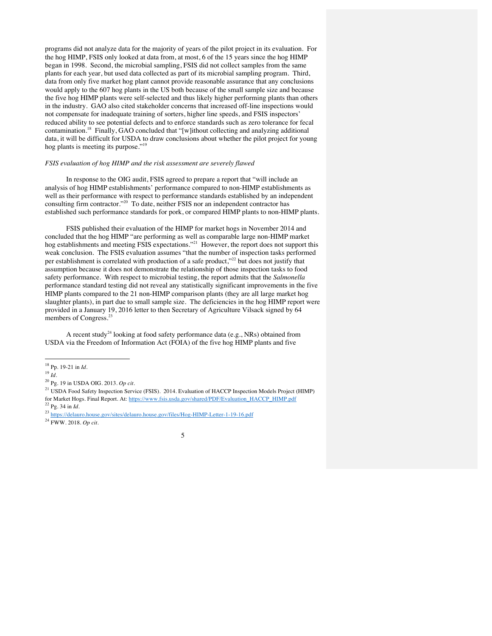programs did not analyze data for the majority of years of the pilot project in its evaluation. For the hog HIMP, FSIS only looked at data from, at most, 6 of the 15 years since the hog HIMP began in 1998. Second, the microbial sampling, FSIS did not collect samples from the same plants for each year, but used data collected as part of its microbial sampling program. Third, data from only five market hog plant cannot provide reasonable assurance that any conclusions would apply to the 607 hog plants in the US both because of the small sample size and because the five hog HIMP plants were self-selected and thus likely higher performing plants than others in the industry. GAO also cited stakeholder concerns that increased off-line inspections would not compensate for inadequate training of sorters, higher line speeds, and FSIS inspectors' reduced ability to see potential defects and to enforce standards such as zero tolerance for fecal contamination.18 Finally, GAO concluded that "[w]ithout collecting and analyzing additional data, it will be difficult for USDA to draw conclusions about whether the pilot project for young hog plants is meeting its purpose."<sup>19</sup>

# *FSIS evaluation of hog HIMP and the risk assessment are severely flawed*

In response to the OIG audit, FSIS agreed to prepare a report that "will include an analysis of hog HIMP establishments' performance compared to non-HIMP establishments as well as their performance with respect to performance standards established by an independent consulting firm contractor."<sup>20</sup> To date, neither FSIS nor an independent contractor has established such performance standards for pork, or compared HIMP plants to non-HIMP plants.

FSIS published their evaluation of the HIMP for market hogs in November 2014 and concluded that the hog HIMP "are performing as well as comparable large non-HIMP market hog establishments and meeting FSIS expectations."<sup>21</sup> However, the report does not support this weak conclusion. The FSIS evaluation assumes "that the number of inspection tasks performed per establishment is correlated with production of a safe product,"<sup>22</sup> but does not justify that assumption because it does not demonstrate the relationship of those inspection tasks to food safety performance. With respect to microbial testing, the report admits that the *Salmonella* performance standard testing did not reveal any statistically significant improvements in the five HIMP plants compared to the 21 non-HIMP comparison plants (they are all large market hog slaughter plants), in part due to small sample size. The deficiencies in the hog HIMP report were provided in a January 19, 2016 letter to then Secretary of Agriculture Vilsack signed by 64 members of Congress.<sup>23</sup>

A recent study<sup>24</sup> looking at food safety performance data (e.g., NRs) obtained from USDA via the Freedom of Information Act (FOIA) of the five hog HIMP plants and five

 <sup>18</sup> Pp. 19-21 in *Id.*

<sup>19</sup> *Id.*

<sup>20</sup> Pg. 19 in USDA OIG. 2013. *Op cit.*

<sup>&</sup>lt;sup>21</sup> USDA Food Safety Inspection Service (FSIS). 2014. Evaluation of HACCP Inspection Models Project (HIMP) for Market Hogs. Final Report. At: https://www.fsis.usda.gov/shared/PDF/Evaluation\_HACCP\_HIMP.pdf <sup>22</sup> Pg. 34 in *Id.*

<sup>23</sup> https://delauro.house.gov/sites/delauro.house.gov/files/Hog-HIMP-Letter-1-19-16.pdf

<sup>24</sup> FWW. 2018. *Op cit.*

<sup>5</sup>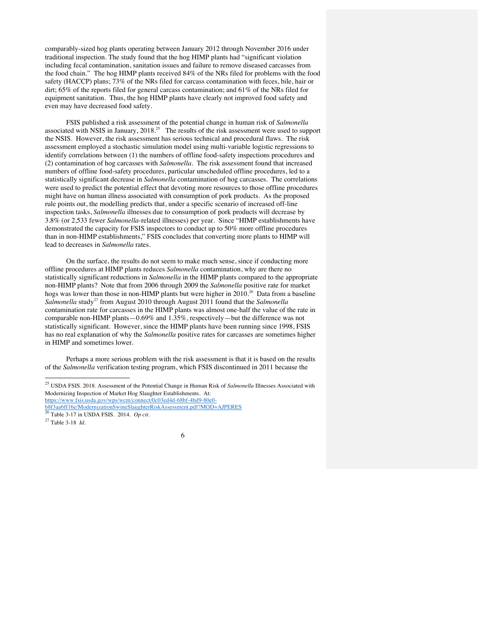comparably-sized hog plants operating between January 2012 through November 2016 under traditional inspection. The study found that the hog HIMP plants had "significant violation including fecal contamination, sanitation issues and failure to remove diseased carcasses from the food chain." The hog HIMP plants received 84% of the NRs filed for problems with the food safety (HACCP) plans; 73% of the NRs filed for carcass contamination with feces, bile, hair or dirt; 65% of the reports filed for general carcass contamination; and 61% of the NRs filed for equipment sanitation. Thus, the hog HIMP plants have clearly not improved food safety and even may have decreased food safety.

FSIS published a risk assessment of the potential change in human risk of *Salmonella* associated with NSIS in January, 2018.<sup>25</sup> The results of the risk assessment were used to support the NSIS. However, the risk assessment has serious technical and procedural flaws. The risk assessment employed a stochastic simulation model using multi-variable logistic regressions to identify correlations between (1) the numbers of offline food-safety inspections procedures and (2) contamination of hog carcasses with *Salmonella*. The risk assessment found that increased numbers of offline food-safety procedures, particular unscheduled offline procedures, led to a statistically significant decrease in *Salmonella* contamination of hog carcasses. The correlations were used to predict the potential effect that devoting more resources to those offline procedures might have on human illness associated with consumption of pork products. As the proposed rule points out, the modelling predicts that, under a specific scenario of increased off-line inspection tasks, *Salmonella* illnesses due to consumption of pork products will decrease by 3.8% (or 2,533 fewer *Salmonella*-related illnesses) per year. Since "HIMP establishments have demonstrated the capacity for FSIS inspectors to conduct up to 50% more offline procedures than in non-HIMP establishments," FSIS concludes that converting more plants to HIMP will lead to decreases in *Salmonella* rates.

On the surface, the results do not seem to make much sense, since if conducting more offline procedures at HIMP plants reduces *Salmonella* contamination, why are there no statistically significant reductions in *Salmonella* in the HIMP plants compared to the appropriate non-HIMP plants? Note that from 2006 through 2009 the *Salmonella* positive rate for market hogs was lower than those in non-HIMP plants but were higher in 2010.<sup>26</sup> Data from a baseline *Salmonella* study<sup>27</sup> from August 2010 through August 2011 found that the *Salmonella* contamination rate for carcasses in the HIMP plants was almost one-half the value of the rate in comparable non-HIMP plants—0.69% and 1.35%, respectively—but the difference was not statistically significant. However, since the HIMP plants have been running since 1998, FSIS has no real explanation of why the *Salmonella* positive rates for carcasses are sometimes higher in HIMP and sometimes lower.

Perhaps a more serious problem with the risk assessment is that it is based on the results of the *Salmonella* verification testing program, which FSIS discontinued in 2011 because the

6

 <sup>25</sup> USDA FSIS. 2018. Assessment of the Potential Change in Human Risk of *Salmonella* Illnesses Associated with Modernizing Inspection of Market Hog Slaughter Establishments. At:

https://www.fsis.usda.gov/wps/wcm/connect/0c03ed4d-68bf-4bd9-80e0-

b8f3aa6ff16e/ModernizationSwineSlaughterRiskAssessment.pdf?MOD=AJPERES <sup>26</sup> Table 3-17 in USDA FSIS. 2014. *Op cit.*

<sup>27</sup> Table 3-18 *Id.*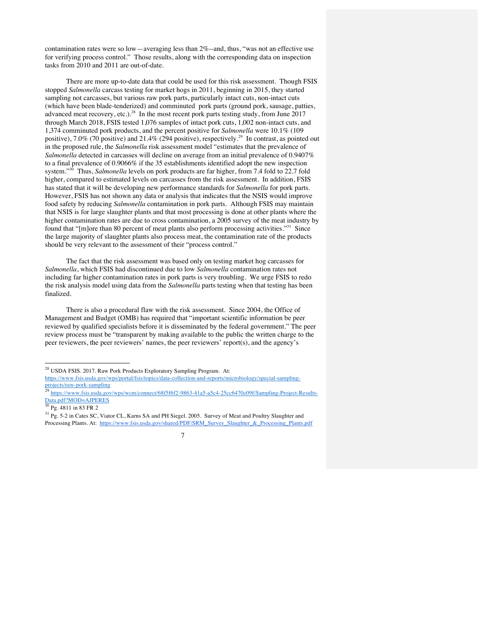contamination rates were so low—averaging less than 2%--and, thus, "was not an effective use for verifying process control." Those results, along with the corresponding data on inspection tasks from 2010 and 2011 are out-of-date.

There are more up-to-date data that could be used for this risk assessment. Though FSIS stopped *Salmonella* carcass testing for market hogs in 2011, beginning in 2015, they started sampling not carcasses, but various raw pork parts, particularly intact cuts, non-intact cuts (which have been blade-tenderized) and comminuted pork parts (ground pork, sausage, patties, advanced meat recovery, etc.).<sup>28</sup> In the most recent pork parts testing study, from June 2017 through March 2018, FSIS tested 1,076 samples of intact pork cuts, 1,002 non-intact cuts, and 1,374 comminuted pork products, and the percent positive for *Salmonella* were 10.1% (109 positive), 7.0% (70 positive) and 21.4% (294 positive), respectively.<sup>29</sup> In contrast, as pointed out in the proposed rule, the *Salmonella* risk assessment model "estimates that the prevalence of *Salmonella* detected in carcasses will decline on average from an initial prevalence of 0.9407% to a final prevalence of 0.9066% if the 35 establishments identified adopt the new inspection system."30 Thus, *Salmonella* levels on pork products are far higher, from 7.4 fold to 22.7 fold higher, compared to estimated levels on carcasses from the risk assessment. In addition, FSIS has stated that it will be developing new performance standards for *Salmonella* for pork parts. However, FSIS has not shown any data or analysis that indicates that the NSIS would improve food safety by reducing *Salmonella* contamination in pork parts. Although FSIS may maintain that NSIS is for large slaughter plants and that most processing is done at other plants where the higher contamination rates are due to cross contamination, a 2005 survey of the meat industry by found that "[m]ore than 80 percent of meat plants also perform processing activities."<sup>31</sup> Since the large majority of slaughter plants also process meat, the contamination rate of the products should be very relevant to the assessment of their "process control."

The fact that the risk assessment was based only on testing market hog carcasses for *Salmonella*, which FSIS had discontinued due to low *Salmonella* contamination rates not including far higher contamination rates in pork parts is very troubling. We urge FSIS to redo the risk analysis model using data from the *Salmonella* parts testing when that testing has been finalized.

There is also a procedural flaw with the risk assessment. Since 2004, the Office of Management and Budget (OMB) has required that "important scientific information be peer reviewed by qualified specialists before it is disseminated by the federal government." The peer review process must be "transparent by making available to the public the written charge to the peer reviewers, the peer reviewers' names, the peer reviewers' report(s), and the agency's

<sup>&</sup>lt;sup>31</sup> Pg. 5-2 in Cates SC, Viator CL, Karns SA and PH Siegel. 2005. Survey of Meat and Poultry Slaughter and Processing Plants. At: https://www.fsis.usda.gov/shared/PDF/SRM\_Survey\_Slaughter\_&\_Processing\_Plants.pdf



 <sup>28</sup> USDA FSIS. 2017. Raw Pork Products Exploratory Sampling Program. At: https://www.fsis.usda.gov/wps/portal/fsis/topics/data-collection-and-reports/microbiology/special-sampling-

projects/raw-pork-sampling<br><sup>29</sup> https://www.fsis.usda.gov/wps/wcm/connect/68f5f6f2-9863-41a5-a5c4-25cc6470c09f/Sampling-Project-Results-

Data.pdf?MOD=AJPERES <sup>30</sup> Pg. 4811 in 83 FR 2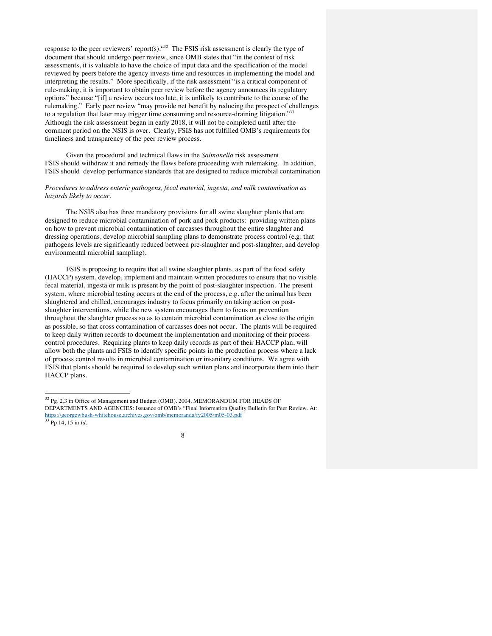response to the peer reviewers' report(s). "<sup>32</sup> The FSIS risk assessment is clearly the type of document that should undergo peer review, since OMB states that "in the context of risk assessments, it is valuable to have the choice of input data and the specification of the model reviewed by peers before the agency invests time and resources in implementing the model and interpreting the results." More specifically, if the risk assessment "is a critical component of rule-making, it is important to obtain peer review before the agency announces its regulatory options" because "[if] a review occurs too late, it is unlikely to contribute to the course of the rulemaking." Early peer review "may provide net benefit by reducing the prospect of challenges to a regulation that later may trigger time consuming and resource-draining litigation."<sup>33</sup> Although the risk assessment began in early 2018, it will not be completed until after the comment period on the NSIS is over. Clearly, FSIS has not fulfilled OMB's requirements for timeliness and transparency of the peer review process.

Given the procedural and technical flaws in the *Salmonella* risk assessment FSIS should withdraw it and remedy the flaws before proceeding with rulemaking. In addition, FSIS should develop performance standards that are designed to reduce microbial contamination

## *Procedures to address enteric pathogens, fecal material, ingesta, and milk contamination as hazards likely to occur.*

The NSIS also has three mandatory provisions for all swine slaughter plants that are designed to reduce microbial contamination of pork and pork products: providing written plans on how to prevent microbial contamination of carcasses throughout the entire slaughter and dressing operations, develop microbial sampling plans to demonstrate process control (e.g. that pathogens levels are significantly reduced between pre-slaughter and post-slaughter, and develop environmental microbial sampling).

FSIS is proposing to require that all swine slaughter plants, as part of the food safety (HACCP) system, develop, implement and maintain written procedures to ensure that no visible fecal material, ingesta or milk is present by the point of post-slaughter inspection. The present system, where microbial testing occurs at the end of the process, e.g. after the animal has been slaughtered and chilled, encourages industry to focus primarily on taking action on postslaughter interventions, while the new system encourages them to focus on prevention throughout the slaughter process so as to contain microbial contamination as close to the origin as possible, so that cross contamination of carcasses does not occur. The plants will be required to keep daily written records to document the implementation and monitoring of their process control procedures. Requiring plants to keep daily records as part of their HACCP plan, will allow both the plants and FSIS to identify specific points in the production process where a lack of process control results in microbial contamination or insanitary conditions. We agree with FSIS that plants should be required to develop such written plans and incorporate them into their HACCP plans.

 <sup>32</sup> Pg. 2,3 in Office of Management and Budget (OMB). 2004. MEMORANDUM FOR HEADS OF DEPARTMENTS AND AGENCIES: Issuance of OMB's "Final Information Quality Bulletin for Peer Review. At: https://georgewbush-whitehouse.archives.gov/omb/memoranda/fy2005/m05-03.pdf <sup>33</sup> Pp 14, 15 in *Id.*

<sup>8</sup>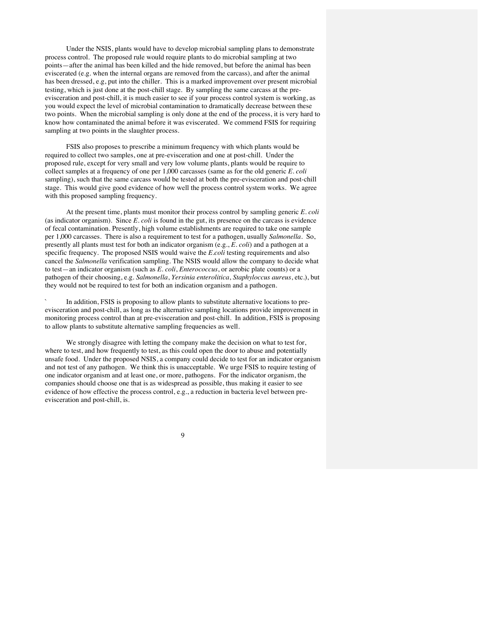Under the NSIS, plants would have to develop microbial sampling plans to demonstrate process control. The proposed rule would require plants to do microbial sampling at two points—after the animal has been killed and the hide removed, but before the animal has been eviscerated (e.g. when the internal organs are removed from the carcass), and after the animal has been dressed, e.g, put into the chiller. This is a marked improvement over present microbial testing, which is just done at the post-chill stage. By sampling the same carcass at the preevisceration and post-chill, it is much easier to see if your process control system is working, as you would expect the level of microbial contamination to dramatically decrease between these two points. When the microbial sampling is only done at the end of the process, it is very hard to know how contaminated the animal before it was eviscerated. We commend FSIS for requiring sampling at two points in the slaughter process.

FSIS also proposes to prescribe a minimum frequency with which plants would be required to collect two samples, one at pre-evisceration and one at post-chill. Under the proposed rule, except for very small and very low volume plants, plants would be require to collect samples at a frequency of one per 1,000 carcasses (same as for the old generic *E. coli* sampling), such that the same carcass would be tested at both the pre-evisceration and post-chill stage. This would give good evidence of how well the process control system works. We agree with this proposed sampling frequency.

At the present time, plants must monitor their process control by sampling generic *E. coli*  (as indicator organism). Since *E. coli* is found in the gut, its presence on the carcass is evidence of fecal contamination. Presently, high volume establishments are required to take one sample per 1,000 carcasses. There is also a requirement to test for a pathogen, usually *Salmonella*. So, presently all plants must test for both an indicator organism (e.g., *E. coli*) and a pathogen at a specific frequency. The proposed NSIS would waive the *E.coli* testing requirements and also cancel the *Salmonella* verification sampling. The NSIS would allow the company to decide what to test—an indicator organism (such as *E. coli*, *Enterococcus*, or aerobic plate counts) or a pathogen of their choosing, e.g. *Salmonella*, *Yersinia enterolitica*, *Staphyloccus aureus*, etc.), but they would not be required to test for both an indication organism and a pathogen.

In addition, FSIS is proposing to allow plants to substitute alternative locations to preevisceration and post-chill, as long as the alternative sampling locations provide improvement in monitoring process control than at pre-evisceration and post-chill. In addition, FSIS is proposing to allow plants to substitute alternative sampling frequencies as well.

We strongly disagree with letting the company make the decision on what to test for, where to test, and how frequently to test, as this could open the door to abuse and potentially unsafe food. Under the proposed NSIS, a company could decide to test for an indicator organism and not test of any pathogen. We think this is unacceptable. We urge FSIS to require testing of one indicator organism and at least one, or more, pathogens. For the indicator organism, the companies should choose one that is as widespread as possible, thus making it easier to see evidence of how effective the process control, e.g., a reduction in bacteria level between preevisceration and post-chill, is.

9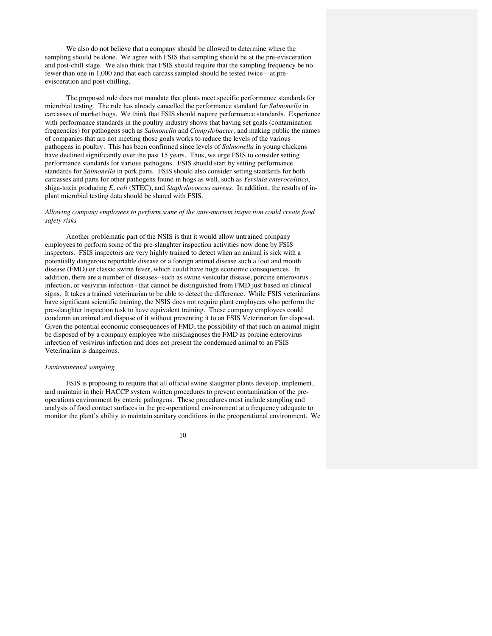We also do not believe that a company should be allowed to determine where the sampling should be done. We agree with FSIS that sampling should be at the pre-evisceration and post-chill stage. We also think that FSIS should require that the sampling frequency be no fewer than one in 1,000 and that each carcass sampled should be tested twice—at preevisceration and post-chilling.

The proposed rule does not mandate that plants meet specific performance standards for microbial testing. The rule has already cancelled the performance standard for *Salmonella* in carcasses of market hogs. We think that FSIS should require performance standards. Experience with performance standards in the poultry industry shows that having set goals (contamination frequencies) for pathogens such as *Salmonella* and *Campylobacter*, and making public the names of companies that are not meeting those goals works to reduce the levels of the various pathogens in poultry. This has been confirmed since levels of *Salmonella* in young chickens have declined significantly over the past 15 years. Thus, we urge FSIS to consider setting performance standards for various pathogens. FSIS should start by setting performance standards for *Salmonella* in pork parts. FSIS should also consider setting standards for both carcasses and parts for other pathogens found in hogs as well, such as *Yersinia enterocolitica*, shiga-toxin producing *E. coli* (STEC), and *Staphylococcus aureus*. In addition, the results of inplant microbial testing data should be shared with FSIS.

# *Allowing company employees to perform some of the ante-mortem inspection could create food safety risks*

Another problematic part of the NSIS is that it would allow untrained company employees to perform some of the pre-slaughter inspection activities now done by FSIS inspectors. FSIS inspectors are very highly trained to detect when an animal is sick with a potentially dangerous reportable disease or a foreign animal disease such a foot and mouth disease (FMD) or classic swine fever, which could have huge economic consequences. In addition, there are a number of diseases--such as swine vesicular disease, porcine enterovirus infection, or vesivirus infection--that cannot be distinguished from FMD just based on clinical signs. It takes a trained veterinarian to be able to detect the difference. While FSIS veterinarians have significant scientific training, the NSIS does not require plant employees who perform the pre-slaughter inspection task to have equivalent training. These company employees could condemn an animal and dispose of it without presenting it to an FSIS Veterinarian for disposal. Given the potential economic consequences of FMD, the possibility of that such an animal might be disposed of by a company employee who misdiagnoses the FMD as porcine enterovirus infection of vesivirus infection and does not present the condemned animal to an FSIS Veterinarian is dangerous.

# *Environmental sampling*

FSIS is proposing to require that all official swine slaughter plants develop, implement, and maintain in their HACCP system written procedures to prevent contamination of the preoperations environment by enteric pathogens. These procedures must include sampling and analysis of food contact surfaces in the pre-operational environment at a frequency adequate to monitor the plant's ability to maintain sanitary conditions in the preoperational environment. We

## 10